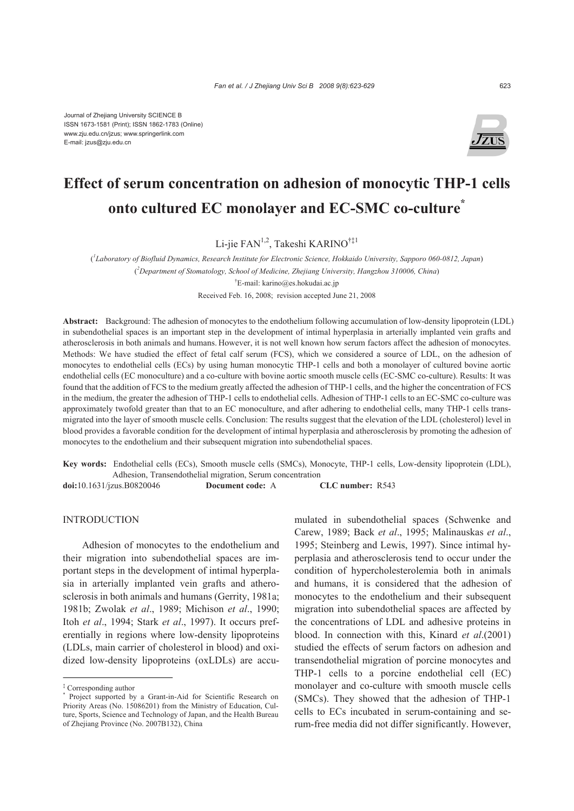

# **Effect of serum concentration on adhesion of monocytic THP-1 cells onto cultured EC monolayer and EC-SMC co-culture\***

Li-jie FAN<sup>1,2</sup>, Takeshi KARINO<sup>†‡1</sup>

( *1 Laboratory of Biofluid Dynamics, Research Institute for Electronic Science, Hokkaido University, Sapporo 060-0812, Japan*) ( *2 Department of Stomatology, School of Medicine, Zhejiang University, Hangzhou 310006, China*) † E-mail: karino@es.hokudai.ac.jp Received Feb. 16, 2008; revision accepted June 21, 2008

**Abstract:** Background: The adhesion of monocytes to the endothelium following accumulation of low-density lipoprotein (LDL) in subendothelial spaces is an important step in the development of intimal hyperplasia in arterially implanted vein grafts and atherosclerosis in both animals and humans. However, it is not well known how serum factors affect the adhesion of monocytes. Methods: We have studied the effect of fetal calf serum (FCS), which we considered a source of LDL, on the adhesion of monocytes to endothelial cells (ECs) by using human monocytic THP-1 cells and both a monolayer of cultured bovine aortic endothelial cells (EC monoculture) and a co-culture with bovine aortic smooth muscle cells (EC-SMC co-culture). Results: It was found that the addition of FCS to the medium greatly affected the adhesion of THP-1 cells, and the higher the concentration of FCS in the medium, the greater the adhesion of THP-1 cells to endothelial cells. Adhesion of THP-1 cells to an EC-SMC co-culture was approximately twofold greater than that to an EC monoculture, and after adhering to endothelial cells, many THP-1 cells transmigrated into the layer of smooth muscle cells. Conclusion: The results suggest that the elevation of the LDL (cholesterol) level in blood provides a favorable condition for the development of intimal hyperplasia and atherosclerosis by promoting the adhesion of monocytes to the endothelium and their subsequent migration into subendothelial spaces.

**Key words:** Endothelial cells (ECs), Smooth muscle cells (SMCs), Monocyte, THP-1 cells, Low-density lipoprotein (LDL), Adhesion, Transendothelial migration, Serum concentration

**doi:**10.1631/jzus.B0820046 **Document code:** A **CLC number:** R543

INTRODUCTION

Adhesion of monocytes to the endothelium and their migration into subendothelial spaces are important steps in the development of intimal hyperplasia in arterially implanted vein grafts and atherosclerosis in both animals and humans (Gerrity, 1981a; 1981b; Zwolak *et al*., 1989; Michison *et al*., 1990; Itoh *et al*., 1994; Stark *et al*., 1997). It occurs preferentially in regions where low-density lipoproteins (LDLs, main carrier of cholesterol in blood) and oxidized low-density lipoproteins (oxLDLs) are accumulated in subendothelial spaces (Schwenke and Carew, 1989; Back *et al*., 1995; Malinauskas *et al*., 1995; Steinberg and Lewis, 1997). Since intimal hyperplasia and atherosclerosis tend to occur under the condition of hypercholesterolemia both in animals and humans, it is considered that the adhesion of monocytes to the endothelium and their subsequent migration into subendothelial spaces are affected by the concentrations of LDL and adhesive proteins in blood. In connection with this, Kinard *et al*.(2001) studied the effects of serum factors on adhesion and transendothelial migration of porcine monocytes and THP-1 cells to a porcine endothelial cell (EC) monolayer and co-culture with smooth muscle cells (SMCs). They showed that the adhesion of THP-1 cells to ECs incubated in serum-containing and serum-free media did not differ significantly. However,

<sup>‡</sup> Corresponding author

<sup>\*</sup> Project supported by a Grant-in-Aid for Scientific Research on Priority Areas (No. 15086201) from the Ministry of Education, Culture, Sports, Science and Technology of Japan, and the Health Bureau of Zhejiang Province (No. 2007B132), China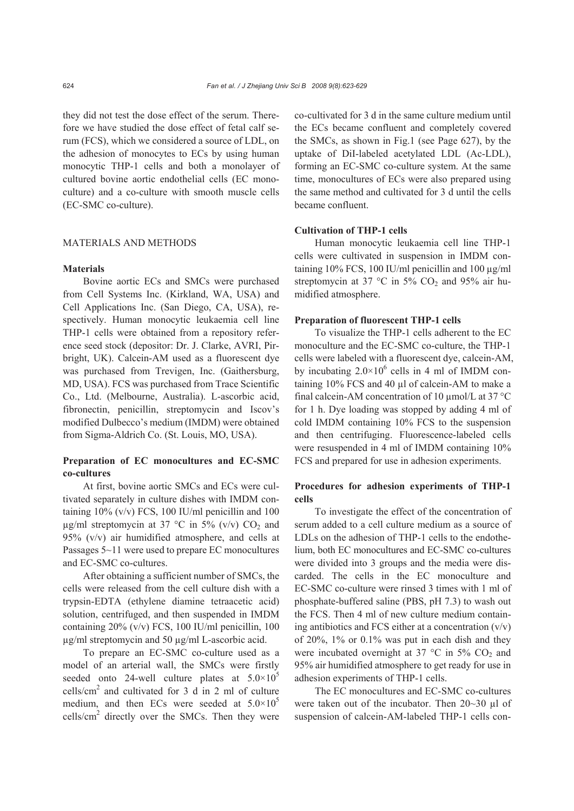they did not test the dose effect of the serum. Therefore we have studied the dose effect of fetal calf serum (FCS), which we considered a source of LDL, on the adhesion of monocytes to ECs by using human monocytic THP-1 cells and both a monolayer of cultured bovine aortic endothelial cells (EC monoculture) and a co-culture with smooth muscle cells (EC-SMC co-culture).

#### MATERIALS AND METHODS

# **Materials**

Bovine aortic ECs and SMCs were purchased from Cell Systems Inc. (Kirkland, WA, USA) and Cell Applications Inc. (San Diego, CA, USA), respectively. Human monocytic leukaemia cell line THP-1 cells were obtained from a repository reference seed stock (depositor: Dr. J. Clarke, AVRI, Pirbright, UK). Calcein-AM used as a fluorescent dye was purchased from Trevigen, Inc. (Gaithersburg, MD, USA). FCS was purchased from Trace Scientific Co., Ltd. (Melbourne, Australia). L-ascorbic acid, fibronectin, penicillin, streptomycin and Iscov's modified Dulbecco's medium (IMDM) were obtained from Sigma-Aldrich Co. (St. Louis, MO, USA).

# **Preparation of EC monocultures and EC-SMC co-cultures**

At first, bovine aortic SMCs and ECs were cultivated separately in culture dishes with IMDM containing  $10\%$  (v/v) FCS, 100 IU/ml penicillin and 100  $\mu$ g/ml streptomycin at 37 °C in 5% (v/v) CO<sub>2</sub> and 95% (v/v) air humidified atmosphere, and cells at Passages 5~11 were used to prepare EC monocultures and EC-SMC co-cultures.

After obtaining a sufficient number of SMCs, the cells were released from the cell culture dish with a trypsin-EDTA (ethylene diamine tetraacetic acid) solution, centrifuged, and then suspended in IMDM containing 20% (v/v) FCS, 100 IU/ml penicillin, 100 µg/ml streptomycin and 50 µg/ml L-ascorbic acid.

To prepare an EC-SMC co-culture used as a model of an arterial wall, the SMCs were firstly seeded onto 24-well culture plates at  $5.0\times10^{5}$ cells/ $\text{cm}^2$  and cultivated for 3 d in 2 ml of culture medium, and then ECs were seeded at  $5.0 \times 10^5$  $\text{cells/cm}^2$  directly over the SMCs. Then they were co-cultivated for 3 d in the same culture medium until the ECs became confluent and completely covered the SMCs, as shown in Fig.1 (see Page 627), by the uptake of DiI-labeled acetylated LDL (Ac-LDL), forming an EC-SMC co-culture system. At the same time, monocultures of ECs were also prepared using the same method and cultivated for 3 d until the cells became confluent.

## **Cultivation of THP-1 cells**

Human monocytic leukaemia cell line THP-1 cells were cultivated in suspension in IMDM containing 10% FCS, 100 IU/ml penicillin and 100 µg/ml streptomycin at 37 °C in 5%  $CO<sub>2</sub>$  and 95% air humidified atmosphere.

## **Preparation of fluorescent THP-1 cells**

To visualize the THP-1 cells adherent to the EC monoculture and the EC-SMC co-culture, the THP-1 cells were labeled with a fluorescent dye, calcein-AM, by incubating  $2.0 \times 10^6$  cells in 4 ml of IMDM containing 10% FCS and 40 µl of calcein-AM to make a final calcein-AM concentration of 10 µmol/L at 37 °C for 1 h. Dye loading was stopped by adding 4 ml of cold IMDM containing 10% FCS to the suspension and then centrifuging. Fluorescence-labeled cells were resuspended in 4 ml of IMDM containing 10% FCS and prepared for use in adhesion experiments.

## **Procedures for adhesion experiments of THP-1 cells**

To investigate the effect of the concentration of serum added to a cell culture medium as a source of LDLs on the adhesion of THP-1 cells to the endothelium, both EC monocultures and EC-SMC co-cultures were divided into 3 groups and the media were discarded. The cells in the EC monoculture and EC-SMC co-culture were rinsed 3 times with 1 ml of phosphate-buffered saline (PBS, pH 7.3) to wash out the FCS. Then 4 ml of new culture medium containing antibiotics and FCS either at a concentration  $(v/v)$ of 20%, 1% or 0.1% was put in each dish and they were incubated overnight at 37  $^{\circ}$ C in 5% CO<sub>2</sub> and 95% air humidified atmosphere to get ready for use in adhesion experiments of THP-1 cells.

The EC monocultures and EC-SMC co-cultures were taken out of the incubator. Then 20~30 µl of suspension of calcein-AM-labeled THP-1 cells con-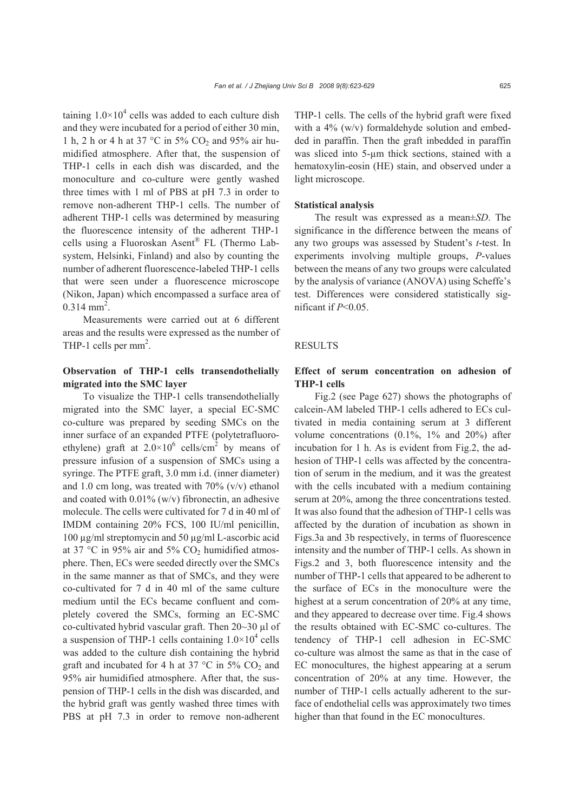taining  $1.0 \times 10^4$  cells was added to each culture dish and they were incubated for a period of either 30 min, 1 h, 2 h or 4 h at 37 °C in 5% CO2 and 95% air humidified atmosphere. After that, the suspension of THP-1 cells in each dish was discarded, and the monoculture and co-culture were gently washed three times with 1 ml of PBS at pH 7.3 in order to remove non-adherent THP-1 cells. The number of adherent THP-1 cells was determined by measuring the fluorescence intensity of the adherent THP-1 cells using a Fluoroskan Asent® FL (Thermo Labsystem, Helsinki, Finland) and also by counting the number of adherent fluorescence-labeled THP-1 cells that were seen under a fluorescence microscope (Nikon, Japan) which encompassed a surface area of  $0.314$  mm<sup>2</sup>.

Measurements were carried out at 6 different areas and the results were expressed as the number of THP-1 cells per  $mm<sup>2</sup>$ .

# **Observation of THP-1 cells transendothelially migrated into the SMC layer**

To visualize the THP-1 cells transendothelially migrated into the SMC layer, a special EC-SMC co-culture was prepared by seeding SMCs on the inner surface of an expanded PTFE (polytetrafluoroethylene) graft at  $2.0 \times 10^6$  cells/cm<sup>2</sup> by means of pressure infusion of a suspension of SMCs using a syringe. The PTFE graft, 3.0 mm i.d. (inner diameter) and 1.0 cm long, was treated with  $70\%$  (v/v) ethanol and coated with  $0.01\%$  (w/v) fibronectin, an adhesive molecule. The cells were cultivated for 7 d in 40 ml of IMDM containing 20% FCS, 100 IU/ml penicillin, 100 µg/ml streptomycin and 50 µg/ml L-ascorbic acid at 37 °C in 95% air and 5%  $CO<sub>2</sub>$  humidified atmosphere. Then, ECs were seeded directly over the SMCs in the same manner as that of SMCs, and they were co-cultivated for 7 d in 40 ml of the same culture medium until the ECs became confluent and completely covered the SMCs, forming an EC-SMC co-cultivated hybrid vascular graft. Then 20~30 µl of a suspension of THP-1 cells containing  $1.0 \times 10^4$  cells was added to the culture dish containing the hybrid graft and incubated for 4 h at 37  $^{\circ}$ C in 5% CO<sub>2</sub> and 95% air humidified atmosphere. After that, the suspension of THP-1 cells in the dish was discarded, and the hybrid graft was gently washed three times with PBS at pH 7.3 in order to remove non-adherent

THP-1 cells. The cells of the hybrid graft were fixed with a 4% (w/v) formaldehyde solution and embedded in paraffin. Then the graft inbedded in paraffin was sliced into 5-um thick sections, stained with a hematoxylin-eosin (HE) stain, and observed under a light microscope.

#### **Statistical analysis**

The result was expressed as a mean±*SD*. The significance in the difference between the means of any two groups was assessed by Student's *t*-test. In experiments involving multiple groups, *P*-values between the means of any two groups were calculated by the analysis of variance (ANOVA) using Scheffe's test. Differences were considered statistically significant if *P*<0.05.

#### **RESULTS**

# **Effect of serum concentration on adhesion of THP-1 cells**

Fig.2 (see Page 627) shows the photographs of calcein-AM labeled THP-1 cells adhered to ECs cultivated in media containing serum at 3 different volume concentrations (0.1%, 1% and 20%) after incubation for 1 h. As is evident from Fig.2, the adhesion of THP-1 cells was affected by the concentration of serum in the medium, and it was the greatest with the cells incubated with a medium containing serum at 20%, among the three concentrations tested. It was also found that the adhesion of THP-1 cells was affected by the duration of incubation as shown in Figs.3a and 3b respectively, in terms of fluorescence intensity and the number of THP-1 cells. As shown in Figs.2 and 3, both fluorescence intensity and the number of THP-1 cells that appeared to be adherent to the surface of ECs in the monoculture were the highest at a serum concentration of 20% at any time, and they appeared to decrease over time. Fig.4 shows the results obtained with EC-SMC co-cultures. The tendency of THP-1 cell adhesion in EC-SMC co-culture was almost the same as that in the case of EC monocultures, the highest appearing at a serum concentration of 20% at any time. However, the number of THP-1 cells actually adherent to the surface of endothelial cells was approximately two times higher than that found in the EC monocultures.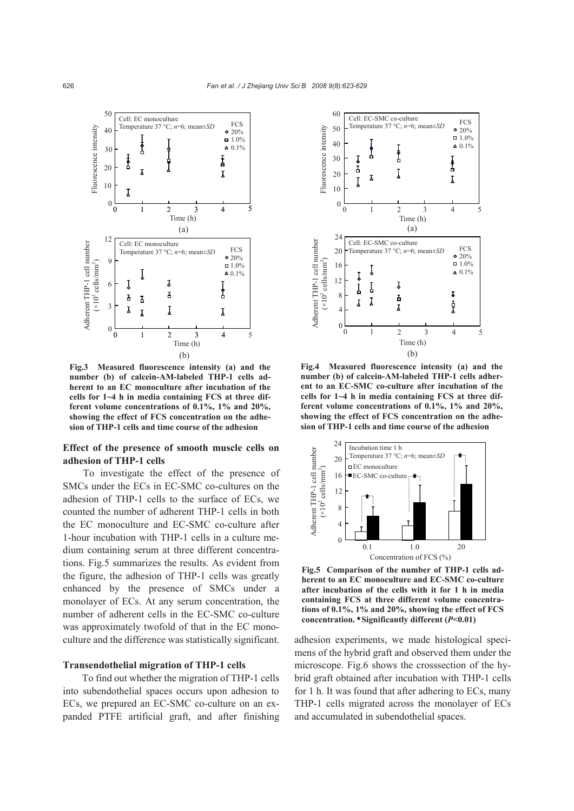

**Fig.3 Measured fluorescence intensity (a) and the number (b) of calcein-AM-labeled THP-1 cells adherent to an EC monoculture after incubation of the cells for 1~4 h in media containing FCS at three different volume concentrations of 0.1%, 1% and 20%, showing the effect of FCS concentration on the adhesion of THP-1 cells and time course of the adhesion** 

# **Effect of the presence of smooth muscle cells on adhesion of THP-1 cells**

To investigate the effect of the presence of SMCs under the ECs in EC-SMC co-cultures on the adhesion of THP-1 cells to the surface of ECs, we counted the number of adherent THP-1 cells in both the EC monoculture and EC-SMC co-culture after 1-hour incubation with THP-1 cells in a culture medium containing serum at three different concentrations. Fig.5 summarizes the results. As evident from the figure, the adhesion of THP-1 cells was greatly enhanced by the presence of SMCs under a monolayer of ECs. At any serum concentration, the number of adherent cells in the EC-SMC co-culture was approximately twofold of that in the EC monoculture and the difference was statistically significant.

## **Transendothelial migration of THP-1 cells**

To find out whether the migration of THP-1 cells into subendothelial spaces occurs upon adhesion to ECs, we prepared an EC-SMC co-culture on an expanded PTFE artificial graft, and after finishing



**Fig.4 Measured fluorescence intensity (a) and the number (b) of calcein-AM-labeled THP-1 cells adherent to an EC-SMC co-culture after incubation of the cells for 1~4 h in media containing FCS at three different volume concentrations of 0.1%, 1% and 20%, showing the effect of FCS concentration on the adhesion of THP-1 cells and time course of the adhesion** 



**Fig.5 Comparison of the number of THP-1 cells adherent to an EC monoculture and EC-SMC co-culture after incubation of the cells with it for 1 h in media containing FCS at three different volume concentrations of 0.1%, 1% and 20%, showing the effect of FCS concentration. Significantly different (***P***<0.01)** 

adhesion experiments, we made histological specimens of the hybrid graft and observed them under the microscope. Fig.6 shows the crosssection of the hybrid graft obtained after incubation with THP-1 cells for 1 h. It was found that after adhering to ECs, many THP-1 cells migrated across the monolayer of ECs and accumulated in subendothelial spaces.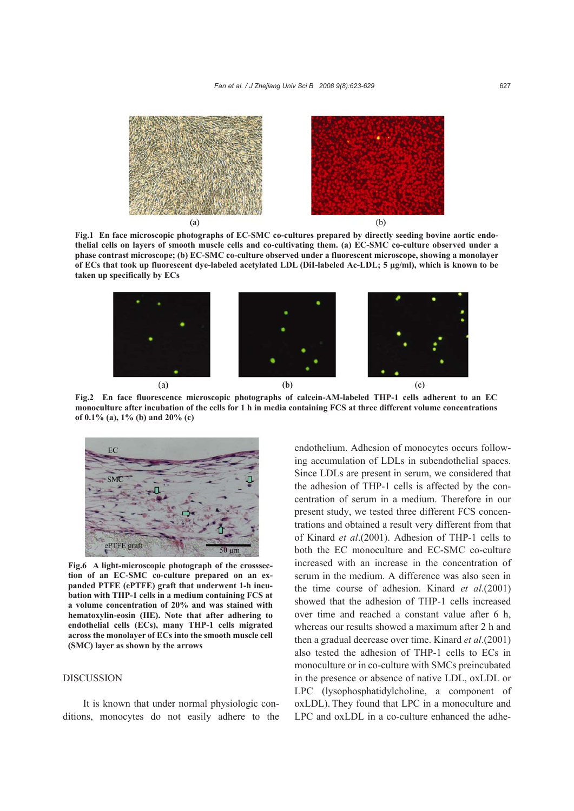

**Fig.1 En face microscopic photographs of EC-SMC co-cultures prepared by directly seeding bovine aortic endothelial cells on layers of smooth muscle cells and co-cultivating them. (a) EC-SMC co-culture observed under a phase contrast microscope; (b) EC-SMC co-culture observed under a fluorescent microscope, showing a monolayer of ECs that took up fluorescent dye-labeled acetylated LDL (DiI-labeled Ac-LDL; 5 μg/ml), which is known to be taken up specifically by ECs** 



**Fig.2 En face fluorescence microscopic photographs of calcein-AM-labeled THP-1 cells adherent to an EC monoculture after incubation of the cells for 1 h in media containing FCS at three different volume concentrations of 0.1% (a), 1% (b) and 20% (c)** 



**Fig.6 A light-microscopic photograph of the crosssection of an EC-SMC co-culture prepared on an expanded PTFE (ePTFE) graft that underwent 1-h incubation with THP-1 cells in a medium containing FCS at a volume concentration of 20% and was stained with hematoxylin-eosin (HE). Note that after adhering to endothelial cells (ECs), many THP-1 cells migrated across the monolayer of ECs into the smooth muscle cell (SMC) layer as shown by the arrows**

## DISCUSSION

It is known that under normal physiologic conditions, monocytes do not easily adhere to the endothelium. Adhesion of monocytes occurs following accumulation of LDLs in subendothelial spaces. Since LDLs are present in serum, we considered that the adhesion of THP-1 cells is affected by the concentration of serum in a medium. Therefore in our present study, we tested three different FCS concentrations and obtained a result very different from that of Kinard *et al*.(2001). Adhesion of THP-1 cells to both the EC monoculture and EC-SMC co-culture increased with an increase in the concentration of serum in the medium. A difference was also seen in the time course of adhesion. Kinard *et al*.(2001) showed that the adhesion of THP-1 cells increased over time and reached a constant value after 6 h, whereas our results showed a maximum after 2 h and then a gradual decrease over time. Kinard *et al*.(2001) also tested the adhesion of THP-1 cells to ECs in monoculture or in co-culture with SMCs preincubated in the presence or absence of native LDL, oxLDL or LPC (lysophosphatidylcholine, a component of oxLDL). They found that LPC in a monoculture and LPC and oxLDL in a co-culture enhanced the adhe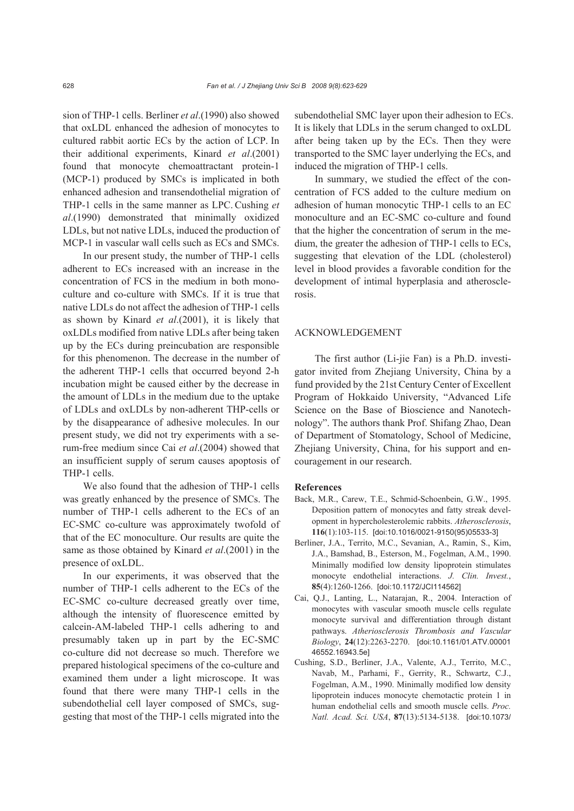sion of THP-1 cells. Berliner *et al*.(1990) also showed that oxLDL enhanced the adhesion of monocytes to cultured rabbit aortic ECs by the action of LCP. In their additional experiments, Kinard *et al*.(2001) found that monocyte chemoattractant protein-1 (MCP-1) produced by SMCs is implicated in both enhanced adhesion and transendothelial migration of THP-1 cells in the same manner as LPC. Cushing *et al*.(1990) demonstrated that minimally oxidized LDLs, but not native LDLs, induced the production of MCP-1 in vascular wall cells such as ECs and SMCs.

In our present study, the number of THP-1 cells adherent to ECs increased with an increase in the concentration of FCS in the medium in both monoculture and co-culture with SMCs. If it is true that native LDLs do not affect the adhesion of THP-1 cells as shown by Kinard *et al*.(2001), it is likely that oxLDLs modified from native LDLs after being taken up by the ECs during preincubation are responsible for this phenomenon. The decrease in the number of the adherent THP-1 cells that occurred beyond 2-h incubation might be caused either by the decrease in the amount of LDLs in the medium due to the uptake of LDLs and oxLDLs by non-adherent THP-cells or by the disappearance of adhesive molecules. In our present study, we did not try experiments with a serum-free medium since Cai *et al*.(2004) showed that an insufficient supply of serum causes apoptosis of THP-1 cells.

We also found that the adhesion of THP-1 cells was greatly enhanced by the presence of SMCs. The number of THP-1 cells adherent to the ECs of an EC-SMC co-culture was approximately twofold of that of the EC monoculture. Our results are quite the same as those obtained by Kinard *et al*.(2001) in the presence of oxLDL.

In our experiments, it was observed that the number of THP-1 cells adherent to the ECs of the EC-SMC co-culture decreased greatly over time, although the intensity of fluorescence emitted by calcein-AM-labeled THP-1 cells adhering to and presumably taken up in part by the EC-SMC co-culture did not decrease so much. Therefore we prepared histological specimens of the co-culture and examined them under a light microscope. It was found that there were many THP-1 cells in the subendothelial cell layer composed of SMCs, suggesting that most of the THP-1 cells migrated into the subendothelial SMC layer upon their adhesion to ECs. It is likely that LDLs in the serum changed to oxLDL after being taken up by the ECs. Then they were transported to the SMC layer underlying the ECs, and induced the migration of THP-1 cells.

In summary, we studied the effect of the concentration of FCS added to the culture medium on adhesion of human monocytic THP-1 cells to an EC monoculture and an EC-SMC co-culture and found that the higher the concentration of serum in the medium, the greater the adhesion of THP-1 cells to ECs, suggesting that elevation of the LDL (cholesterol) level in blood provides a favorable condition for the development of intimal hyperplasia and atherosclerosis.

## ACKNOWLEDGEMENT

The first author (Li-jie Fan) is a Ph.D. investigator invited from Zhejiang University, China by a fund provided by the 21st Century Center of Excellent Program of Hokkaido University, "Advanced Life Science on the Base of Bioscience and Nanotechnology". The authors thank Prof. Shifang Zhao, Dean of Department of Stomatology, School of Medicine, Zhejiang University, China, for his support and encouragement in our research.

#### **References**

- Back, M.R., Carew, T.E., Schmid-Schoenbein, G.W., 1995. Deposition pattern of monocytes and fatty streak development in hypercholesterolemic rabbits. *Atherosclerosis*, **116**(1):103-115. [doi:10.1016/0021-9150(95)05533-3]
- Berliner, J.A., Territo, M.C., Sevanian, A., Ramin, S., Kim, J.A., Bamshad, B., Esterson, M., Fogelman, A.M., 1990. Minimally modified low density lipoprotein stimulates monocyte endothelial interactions. *J. Clin. Invest.*, **85**(4):1260-1266. [doi:10.1172/JCI114562]
- Cai, Q.J., Lanting, L., Natarajan, R., 2004. Interaction of monocytes with vascular smooth muscle cells regulate monocyte survival and differentiation through distant pathways. *Atheriosclerosis Thrombosis and Vascular Biology*, **24**(12):2263-2270. [doi:10.1161/01.ATV.00001 46552.16943.5e]
- Cushing, S.D., Berliner, J.A., Valente, A.J., Territo, M.C., Navab, M., Parhami, F., Gerrity, R., Schwartz, C.J., Fogelman, A.M., 1990. Minimally modified low density lipoprotein induces monocyte chemotactic protein 1 in human endothelial cells and smooth muscle cells. *Proc. Natl. Acad. Sci. USA*, **87**(13):5134-5138. [doi:10.1073/